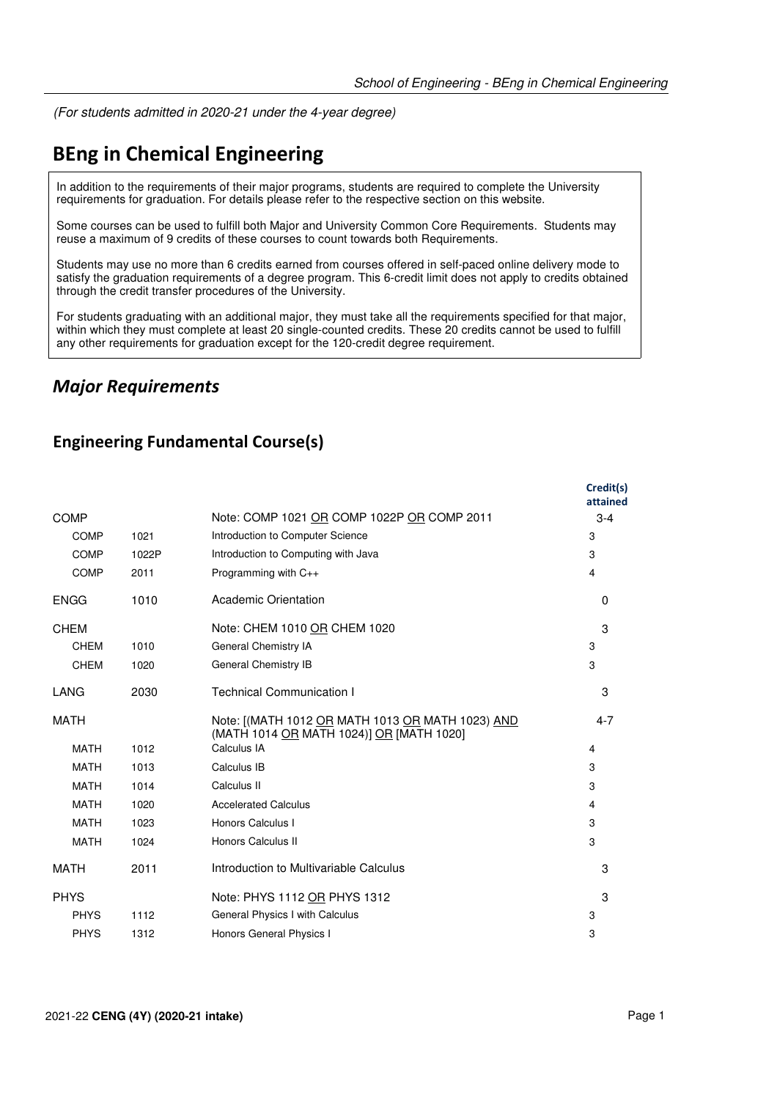(For students admitted in 2020-21 under the 4-year degree)

# **BEng in Chemical Engineering**

In addition to the requirements of their major programs, students are required to complete the University requirements for graduation. For details please refer to the respective section on this website.

Some courses can be used to fulfill both Major and University Common Core Requirements. Students may reuse a maximum of 9 credits of these courses to count towards both Requirements.

Students may use no more than 6 credits earned from courses offered in self-paced online delivery mode to satisfy the graduation requirements of a degree program. This 6-credit limit does not apply to credits obtained through the credit transfer procedures of the University.

For students graduating with an additional major, they must take all the requirements specified for that major, within which they must complete at least 20 single-counted credits. These 20 credits cannot be used to fulfill any other requirements for graduation except for the 120-credit degree requirement.

### *Major Requirements*

#### **Engineering Fundamental Course(s)**

|             |       |                                                                                              | Credit(s)<br>attained |
|-------------|-------|----------------------------------------------------------------------------------------------|-----------------------|
| <b>COMP</b> |       | Note: COMP 1021 OR COMP 1022P OR COMP 2011                                                   | $3 - 4$               |
| <b>COMP</b> | 1021  | Introduction to Computer Science                                                             | 3                     |
| <b>COMP</b> | 1022P | Introduction to Computing with Java                                                          | 3                     |
| <b>COMP</b> | 2011  | Programming with C++                                                                         | $\overline{4}$        |
| <b>ENGG</b> | 1010  | <b>Academic Orientation</b>                                                                  | $\Omega$              |
| <b>CHEM</b> |       | Note: CHEM 1010 OR CHEM 1020                                                                 | 3                     |
| <b>CHEM</b> | 1010  | General Chemistry IA                                                                         | 3                     |
| <b>CHEM</b> | 1020  | General Chemistry IB                                                                         | 3                     |
| LANG        | 2030  | <b>Technical Communication I</b>                                                             | 3                     |
| <b>MATH</b> |       | Note: [(MATH 1012 OR MATH 1013 OR MATH 1023) AND<br>(MATH 1014 OR MATH 1024)] OR [MATH 1020] | $4 - 7$               |
| <b>MATH</b> | 1012  | Calculus IA                                                                                  | 4                     |
| <b>MATH</b> | 1013  | Calculus IB                                                                                  | 3                     |
| <b>MATH</b> | 1014  | Calculus II                                                                                  | 3                     |
| <b>MATH</b> | 1020  | <b>Accelerated Calculus</b>                                                                  | 4                     |
| <b>MATH</b> | 1023  | Honors Calculus I                                                                            | 3                     |
| <b>MATH</b> | 1024  | <b>Honors Calculus II</b>                                                                    | 3                     |
| MATH        | 2011  | Introduction to Multivariable Calculus                                                       | 3                     |
| <b>PHYS</b> |       | Note: PHYS 1112 OR PHYS 1312                                                                 | 3                     |
| <b>PHYS</b> | 1112  | General Physics I with Calculus                                                              | 3                     |
| <b>PHYS</b> | 1312  | Honors General Physics I                                                                     | 3                     |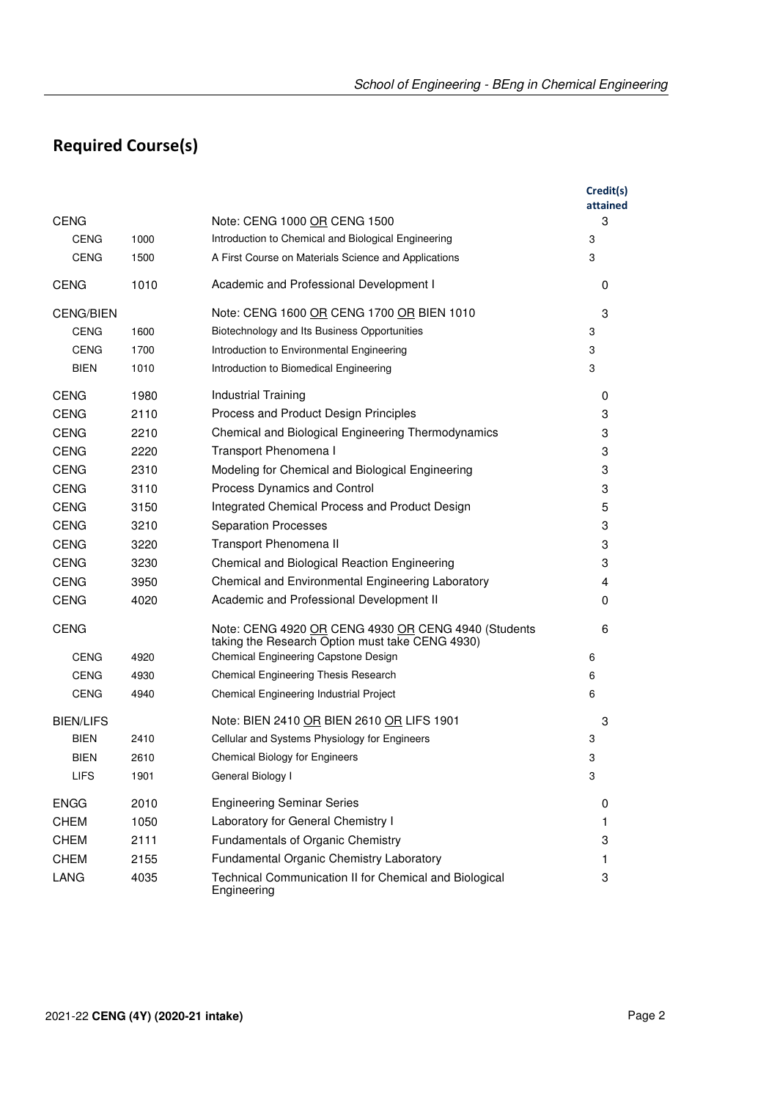# **Required Course(s)**

|                  |      |                                                                                                        | Credit(s)<br>attained |
|------------------|------|--------------------------------------------------------------------------------------------------------|-----------------------|
| <b>CENG</b>      |      | Note: CENG 1000 OR CENG 1500                                                                           | 3                     |
| <b>CENG</b>      | 1000 | Introduction to Chemical and Biological Engineering                                                    | 3                     |
| <b>CENG</b>      | 1500 | A First Course on Materials Science and Applications                                                   | 3                     |
| <b>CENG</b>      | 1010 | Academic and Professional Development I                                                                | 0                     |
| <b>CENG/BIEN</b> |      | Note: CENG 1600 OR CENG 1700 OR BIEN 1010                                                              | 3                     |
| <b>CENG</b>      | 1600 | Biotechnology and Its Business Opportunities                                                           | 3                     |
| <b>CENG</b>      | 1700 | Introduction to Environmental Engineering                                                              | 3                     |
| BIEN             | 1010 | Introduction to Biomedical Engineering                                                                 | 3                     |
| <b>CENG</b>      | 1980 | Industrial Training                                                                                    | 0                     |
| <b>CENG</b>      | 2110 | Process and Product Design Principles                                                                  | 3                     |
| <b>CENG</b>      | 2210 | Chemical and Biological Engineering Thermodynamics                                                     | 3                     |
| <b>CENG</b>      | 2220 | Transport Phenomena I                                                                                  | 3                     |
| <b>CENG</b>      | 2310 | Modeling for Chemical and Biological Engineering                                                       | 3                     |
| <b>CENG</b>      | 3110 | Process Dynamics and Control                                                                           | 3                     |
| <b>CENG</b>      | 3150 | Integrated Chemical Process and Product Design                                                         | 5                     |
| <b>CENG</b>      | 3210 | <b>Separation Processes</b>                                                                            | 3                     |
| <b>CENG</b>      | 3220 | Transport Phenomena II                                                                                 | 3                     |
| <b>CENG</b>      | 3230 | Chemical and Biological Reaction Engineering                                                           | 3                     |
| <b>CENG</b>      | 3950 | Chemical and Environmental Engineering Laboratory                                                      | 4                     |
| <b>CENG</b>      | 4020 | Academic and Professional Development II                                                               | 0                     |
| <b>CENG</b>      |      | Note: CENG 4920 OR CENG 4930 OR CENG 4940 (Students<br>taking the Research Option must take CENG 4930) | 6                     |
| <b>CENG</b>      | 4920 | Chemical Engineering Capstone Design                                                                   | 6                     |
| <b>CENG</b>      | 4930 | Chemical Engineering Thesis Research                                                                   | 6                     |
| <b>CENG</b>      | 4940 | Chemical Engineering Industrial Project                                                                | 6                     |
| <b>BIEN/LIFS</b> |      | Note: BIEN 2410 OR BIEN 2610 OR LIFS 1901                                                              | 3                     |
| BIEN             | 2410 | Cellular and Systems Physiology for Engineers                                                          | 3                     |
| BIEN             | 2610 | <b>Chemical Biology for Engineers</b>                                                                  | 3                     |
| LIFS             | 1901 | General Biology I                                                                                      | 3                     |
| <b>ENGG</b>      | 2010 | <b>Engineering Seminar Series</b>                                                                      | 0                     |
| <b>CHEM</b>      | 1050 | Laboratory for General Chemistry I                                                                     | $\mathbf{1}$          |
| <b>CHEM</b>      | 2111 | Fundamentals of Organic Chemistry                                                                      | 3                     |
| <b>CHEM</b>      | 2155 | Fundamental Organic Chemistry Laboratory                                                               | 1                     |
| <b>LANG</b>      | 4035 | Technical Communication II for Chemical and Biological<br>Engineering                                  | 3                     |